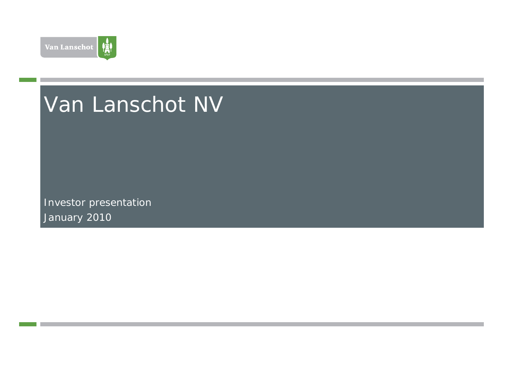

# Van Lanschot NV

Investor presentation January 2010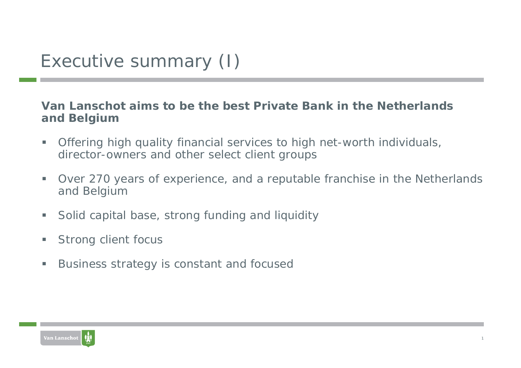#### **Van Lanschot aims to be the best Private Bank in the Netherlands and Belgium**

- $\overline{\phantom{a}}$  Offering high quality financial services to high net-worth individuals, director-owners and other select client groups
- ×. Over 270 years of experience, and a reputable franchise in the Netherlands and Belgium
- $\overline{\phantom{a}}$ Solid capital base, strong funding and liquidity
- ×. Strong client focus
- **Co** Business strategy is constant and focused

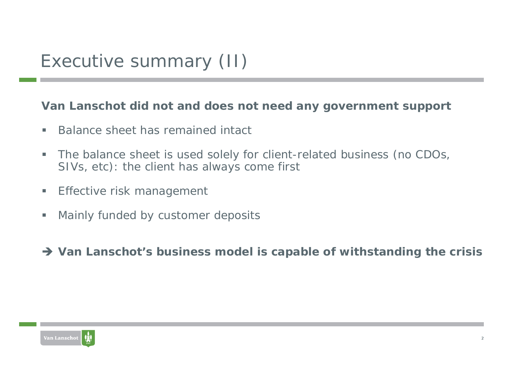#### **Van Lanschot did not and does not need any government support**

- $\blacksquare$ Balance sheet has remained intact
- $\blacksquare$  The balance sheet is used solely for client-related business (no CDOs, SIVs, etc): the client has always come first
- ш Effective risk management
- $\overline{\phantom{a}}$ Mainly funded by customer deposits
- → Van Lanschot's business model is capable of withstanding the crisis

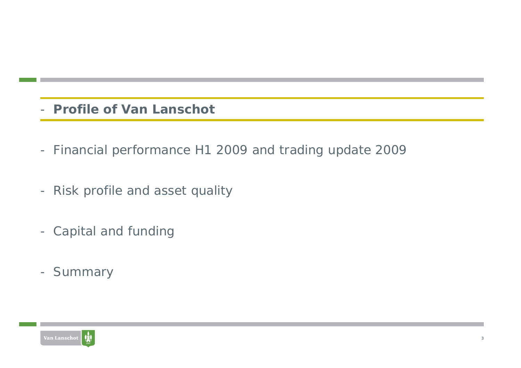- **Profile of Van Lanschot**
- Financial performance H1 2009 and trading update 2009
- Risk profile and asset quality
- Capital and funding
- Summary

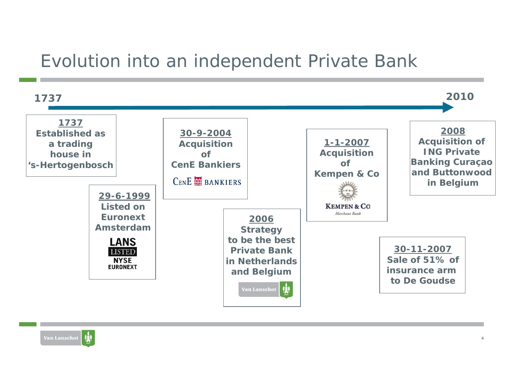### Evolution into an independent Private Bank



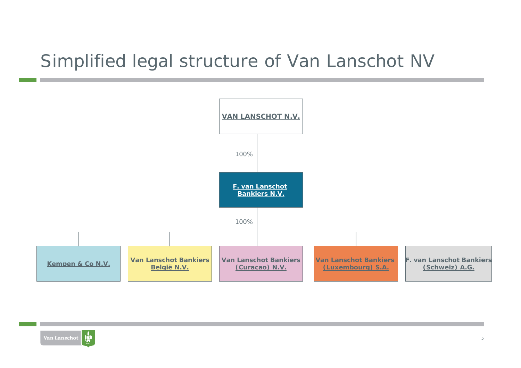### Simplified legal structure of Van Lanschot NV



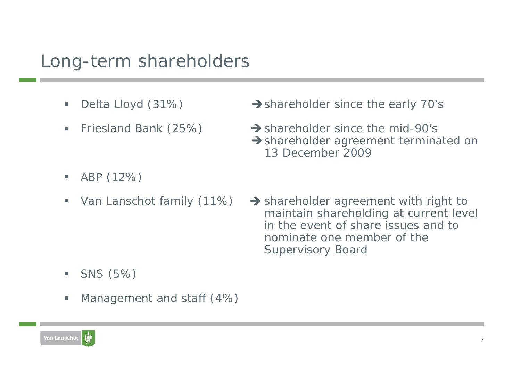### Long-term shareholders

- $\blacksquare$ Delta Lloyd (31%)
- $\blacksquare$ Friesland Bank (25%)
- $\rightarrow$  shareholder since the early 70's
- $\rightarrow$  shareholder since the mid-90's  $\rightarrow$  shareholder agreement terminated on 13 December 2009

- $\blacksquare$ ABP (12%)
- $\blacksquare$ Van Lanschot family (11%)
- $\rightarrow$  shareholder agreement with right to maintain shareholding at current level in the event of share issues and to nominate one member of theSupervisory Board

- $\blacksquare$ SNS (5%)
- $\overline{\phantom{a}}$ Management and staff (4%)

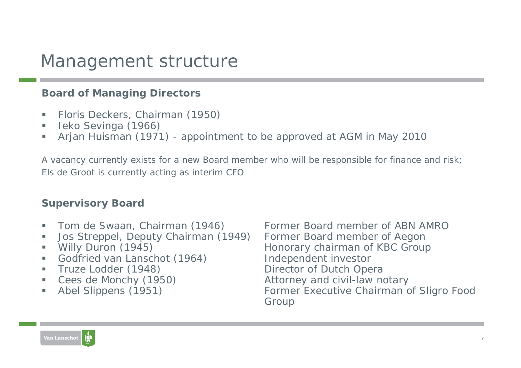### Management structure

#### **Board of Managing Directors**

- $\mathcal{L}_{\mathcal{A}}$ Floris Deckers, Chairman (1950)
- a. Ieko Sevinga (1966)
- $\blacksquare$ Arjan Huisman (1971) - appointment to be approved at AGM in May 2010

A vacancy currently exists for a new Board member who will be responsible for finance and risk; Els de Groot is currently acting as interim CFO

#### **Supervisory Board**

- a.
- $\blacksquare$ Jos Streppel, Deputy Chairman (1949) Former Board member of Aegon
- $\blacksquare$
- a. Godfried van Lanschot (1964) lndependent investor
- $\mathcal{L}_{\mathcal{A}}$
- **I**
- a.

 Tom de Swaan, Chairman (1946) Former Board member of ABN AMRO Willy Duron (1945) Milly Duron (1945) Honorary chairman of KBC Group Truze Lodder (1948) Director of Dutch Opera Cees de Monchy (1950) The Contract Attorney and civil-law notary Abel Slippens (1951) Former Executive Chairman of Sligro Food Group

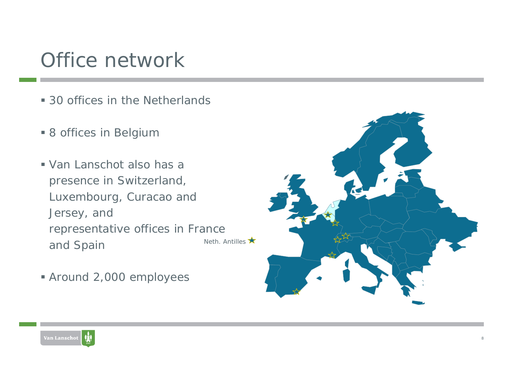# Office network

- 30 offices in the Netherlands
- 8 offices in Belgium
- Van Lanschot also has a presence in Switzerland, Luxembourg, Curacao and Jersey, and representative offices in France and Spain Neth. Antilles  $\bigstar$
- Around 2,000 employees



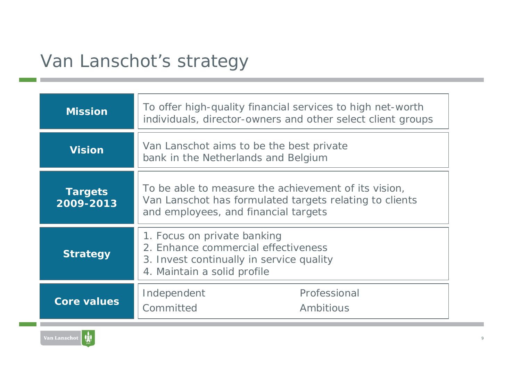## Van Lanschot's strategy

| <b>Mission</b>              | To offer high-quality financial services to high net-worth<br>individuals, director-owners and other select client groups                               |  |  |
|-----------------------------|---------------------------------------------------------------------------------------------------------------------------------------------------------|--|--|
| <b>Vision</b>               | Van Lanschot aims to be the best private<br>bank in the Netherlands and Belgium                                                                         |  |  |
| <b>Targets</b><br>2009-2013 | To be able to measure the achievement of its vision,<br>Van Lanschot has formulated targets relating to clients<br>and employees, and financial targets |  |  |
| <b>Strategy</b>             | 1. Focus on private banking<br>2. Enhance commercial effectiveness<br>3. Invest continually in service quality<br>4. Maintain a solid profile           |  |  |
| <b>Core values</b>          | Professional<br>Independent<br>Committed<br>Ambitious                                                                                                   |  |  |

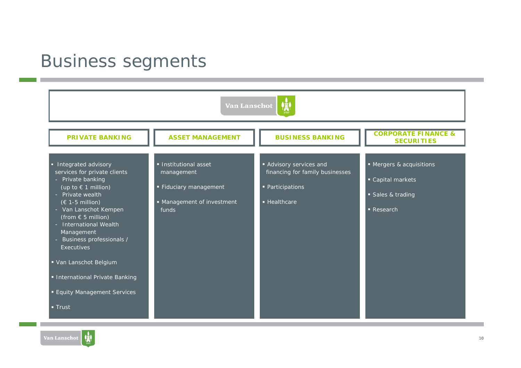### Business segments

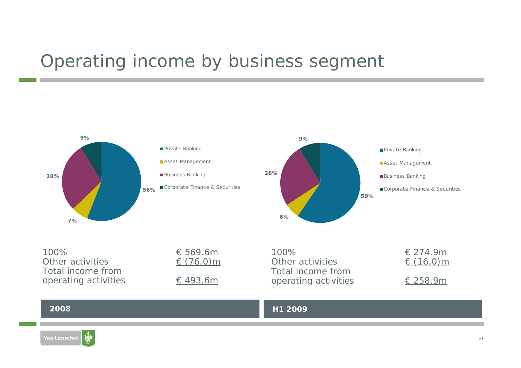### Operating income by business segment

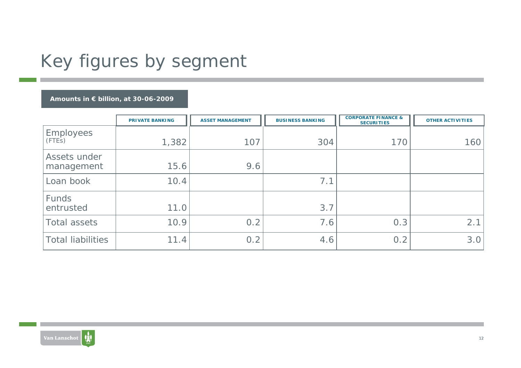# Key figures by segment

#### **Amounts in € billion, at 30-06-2009**

|                            | <b>PRIVATE BANKING</b> | <b>ASSET MANAGEMENT</b> | <b>BUSINESS BANKING</b> | <b>CORPORATE FINANCE &amp;</b><br><b>SECURITIES</b> | <b>OTHER ACTIVITIES</b> |
|----------------------------|------------------------|-------------------------|-------------------------|-----------------------------------------------------|-------------------------|
| <b>Employees</b><br>(FTEs) | 1,382                  | 107                     | 304                     | 170                                                 | 160                     |
| Assets under<br>management | 15.6                   | 9.6                     |                         |                                                     |                         |
| Loan book                  | 10.4                   |                         | 7.1                     |                                                     |                         |
| Funds<br>entrusted         | 11.0                   |                         | 3.7                     |                                                     |                         |
| Total assets               | 10.9                   | 0.2                     | 7.6                     | 0.3                                                 | 2.1                     |
| <b>Total liabilities</b>   | 11.4                   | 0.2                     | 4.6                     | 0.2                                                 | 3.0                     |

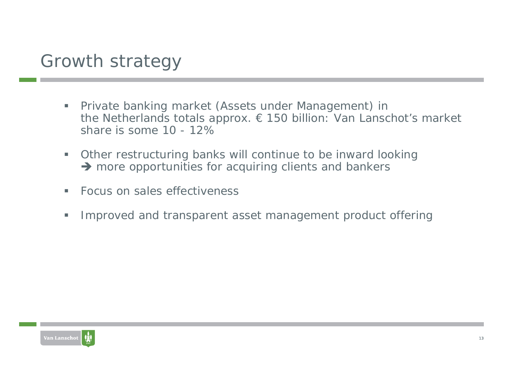### Growth strategy

- $\blacksquare$  Private banking market (Assets under Management) in the Netherlands totals approx. € 150 billion: Van Lanschot's market share is some 10 - 12%
- a. Other restructuring banks will continue to be inward looking  $\rightarrow$  more opportunities for acquiring clients and bankers
- $\mathcal{L}_{\mathcal{A}}$ Focus on sales effectiveness
- $\blacksquare$ Improved and transparent asset management product offering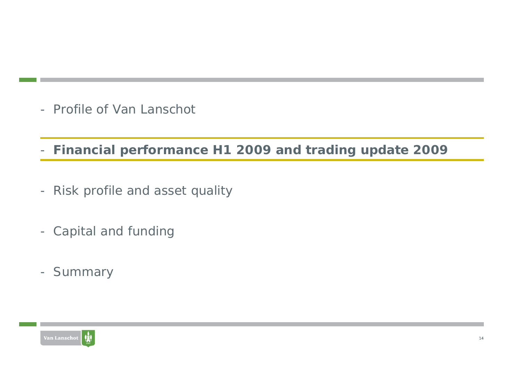- Profile of Van Lanschot

**Financial performance H1 2009 and trading update 2009**

- Risk profile and asset quality
- Capital and funding
- Summary

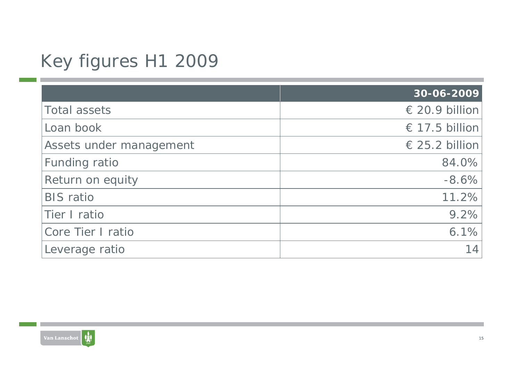# Key figures H1 2009

|                         | 30-06-2009         |
|-------------------------|--------------------|
| <b>Total assets</b>     | $\in$ 20.9 billion |
| Loan book               | € 17.5 billion     |
| Assets under management | € 25.2 billion     |
| Funding ratio           | 84.0%              |
| Return on equity        | $-8.6%$            |
| <b>BIS</b> ratio        | 11.2%              |
| Tier I ratio            | 9.2%               |
| Core Tier I ratio       | 6.1%               |
| Leverage ratio          | 14                 |

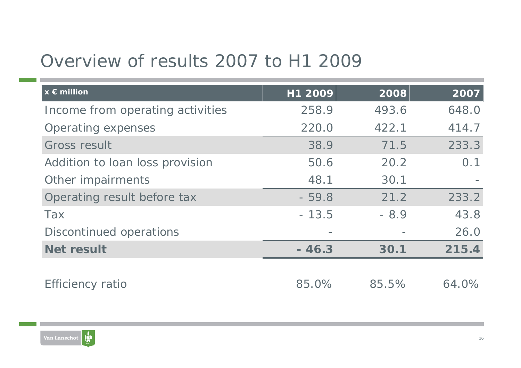## Overview of results 2007 to H1 2009

| $x \in$ million                  | H1 2009 | 2008   | 2007  |
|----------------------------------|---------|--------|-------|
| Income from operating activities | 258.9   | 493.6  | 648.0 |
| <b>Operating expenses</b>        | 220.0   | 422.1  | 414.7 |
| <b>Gross result</b>              | 38.9    | 71.5   | 233.3 |
| Addition to loan loss provision  | 50.6    | 20.2   | 0.1   |
| Other impairments                | 48.1    | 30.1   |       |
| Operating result before tax      | $-59.8$ | 21.2   | 233.2 |
| <b>Tax</b>                       | $-13.5$ | $-8.9$ | 43.8  |
| Discontinued operations          |         |        | 26.0  |
| <b>Net result</b>                | $-46.3$ | 30.1   | 215.4 |
|                                  |         |        |       |
| <b>Efficiency ratio</b>          | 85.0%   | 85.5%  | 64.0% |

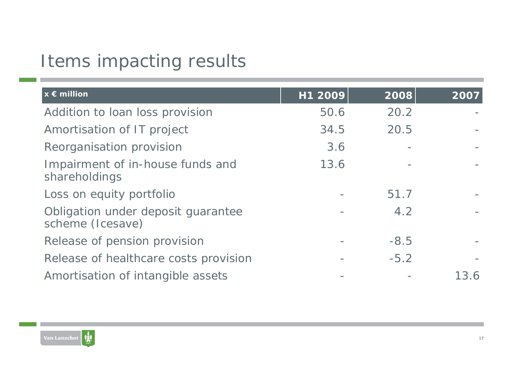## Items impacting results

| $x \in$ million                                        | H1 2009 | 2008   | $\overline{2007}$ |
|--------------------------------------------------------|---------|--------|-------------------|
| Addition to loan loss provision                        | 50.6    | 20.2   |                   |
| Amortisation of IT project                             | 34.5    | 20.5   |                   |
| Reorganisation provision                               | 3.6     |        |                   |
| Impairment of in-house funds and<br>shareholdings      | 13.6    |        |                   |
| Loss on equity portfolio                               |         | 51.7   |                   |
| Obligation under deposit guarantee<br>scheme (Icesave) |         | 4.2    |                   |
| Release of pension provision                           |         | $-8.5$ |                   |
| Release of healthcare costs provision                  |         | $-5.2$ |                   |
| Amortisation of intangible assets                      |         |        | 13.6              |

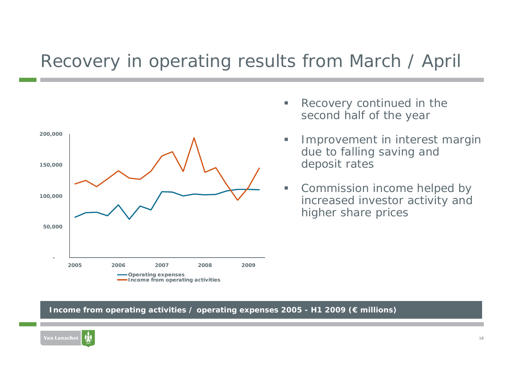### Recovery in operating results from March / April



- ▉ Recovery continued in the second half of the year
- ▉ Improvement in interest margin due to falling saving and deposit rates
- $\blacksquare$  Commission income helped by increased investor activity and higher share prices

#### **Income from operating activities / operating expenses 2005 - H1 2009 (€ millions)**

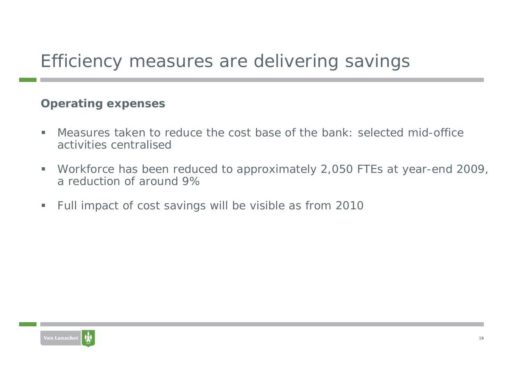# Efficiency measures are delivering savings

#### **Operating expenses**

- $\mathcal{L}_{\mathcal{A}}$  Measures taken to reduce the cost base of the bank: selected mid-office activities centralised
- ш Workforce has been reduced to approximately 2,050 FTEs at year-end 2009, a reduction of around 9%
- $\blacksquare$ Full impact of cost savings will be visible as from 2010

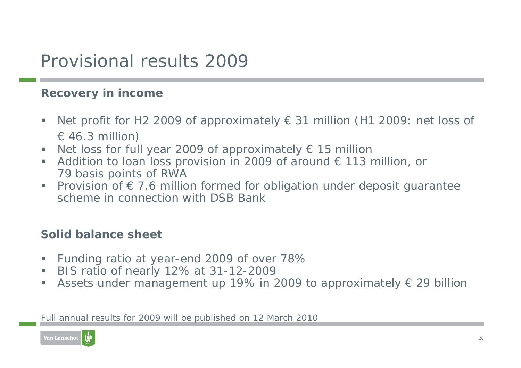### Provisional results 2009

#### **Recovery in income**

- $\mathcal{L}_{\mathcal{A}}$ Net profit for H2 2009 of approximately  $\epsilon$  31 million (H1 2009: net loss of  $\in$  46.3 million)
- Г Net loss for full year 2009 of approximately  $\epsilon$  15 million
- $\mathcal{L}_{\mathcal{A}}$ Addition to loan loss provision in 2009 of around  $\epsilon$  113 million, or 79 basis points of RWA
- $\blacksquare$ Provision of  $f{E}$  7.6 million formed for obligation under deposit guarantee scheme in connection with DSB Bank

#### **Solid balance sheet**

- $\mathcal{L}_{\mathcal{A}}$ Funding ratio at year-end 2009 of over 78%
- $\mathcal{L}_{\mathcal{A}}$ BIS ratio of nearly 12% at 31-12-2009
- $\mathcal{L}_{\mathcal{A}}$ Assets under management up 19% in 2009 to approximately  $\epsilon$  29 billion

Full annual results for 2009 will be published on 12 March 2010

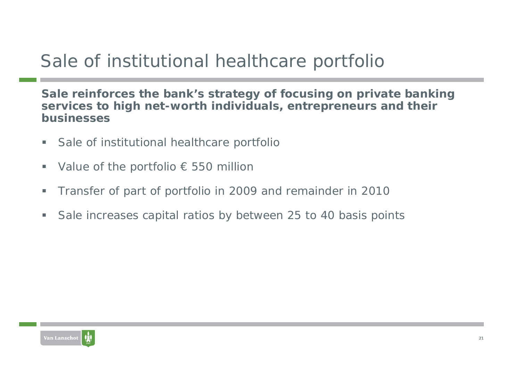# Sale of institutional healthcare portfolio

**Sale reinforces the bank's strategy of focusing on private banking services to high net-worth individuals, entrepreneurs and their businesses**

- **Co** Sale of institutional healthcare portfolio
- $\blacksquare$ Value of the portfolio  $\epsilon$  550 million
- a. Transfer of part of portfolio in 2009 and remainder in 2010
- $\overline{\phantom{a}}$ Sale increases capital ratios by between 25 to 40 basis points

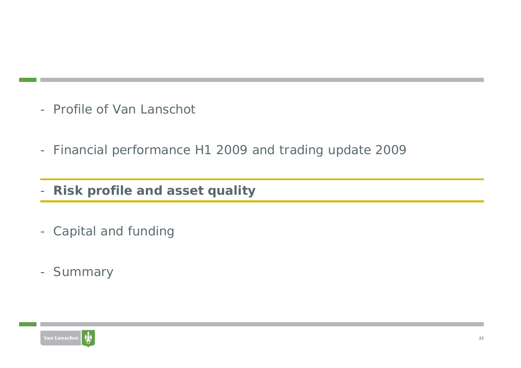- Profile of Van Lanschot
- Financial performance H1 2009 and trading update 2009
- -**Risk profile and asset quality**
- Capital and funding
- Summary

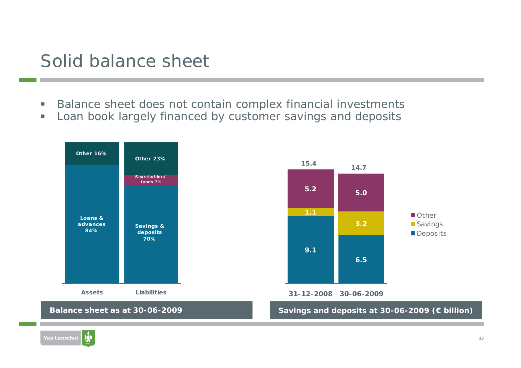### Solid balance sheet

- г Balance sheet does not contain complex financial investments
- $\overline{\phantom{a}}$ Loan book largely financed by customer savings and deposits

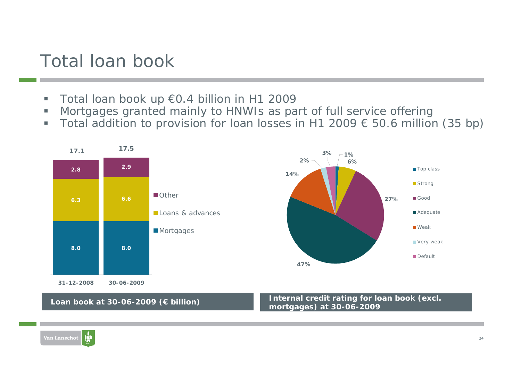### Total loan book

- $\blacksquare$ Total loan book up €0.4 billion in H1 2009
- $\overline{\phantom{a}}$ Mortgages granted mainly to HNWIs as part of full service offering
- $\blacksquare$ Total addition to provision for loan losses in H1 2009  $\epsilon$  50.6 million (35 bp)

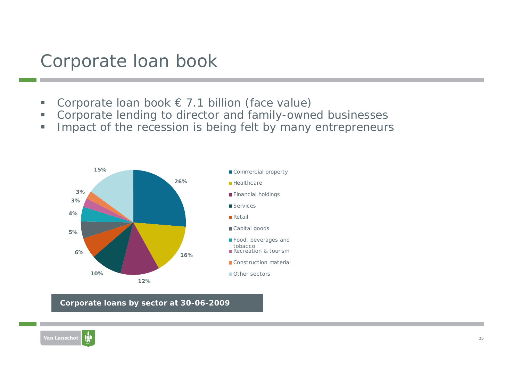#### Corporate loan book

- г Corporate loan book  $\epsilon$  7.1 billion (face value)
- □ Corporate lending to director and family-owned businesses
- $\blacksquare$ Impact of the recession is being felt by many entrepreneurs



**Corporate loans by sector at 30-06-2009**

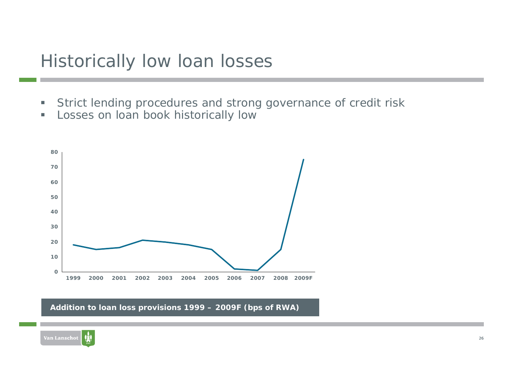#### Historically low loan losses

- u. Strict lending procedures and strong governance of credit risk
- ш Losses on loan book historically low



**Addition to loan loss provisions 1999 – 2009F (bps of RWA)**

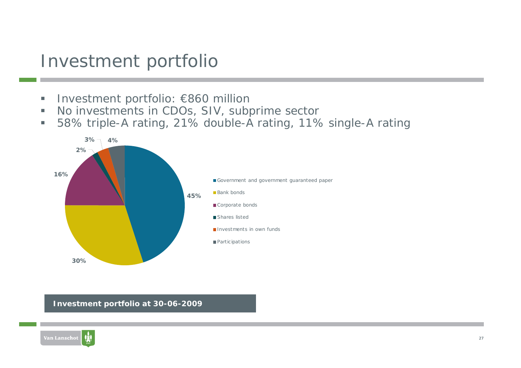### Investment portfolio

- L. Investment portfolio: €860 million
- U. No investments in CDOs, SIV, subprime sector
- $\blacksquare$ 58% triple-A rating, 21% double-A rating, 11% single-A rating



**Investment portfolio at 30-06-2009**

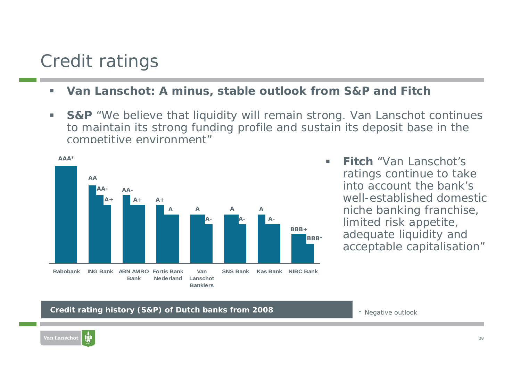### Credit ratings

- $\mathcal{L}_{\mathcal{A}}$ **Van Lanschot: A minus, stable outlook from S&P and Fitch**
- $\blacksquare$ **S&P** "We believe that liquidity will remain strong. Van Lanschot continues to maintain its strong funding profile and sustain its deposit base in the competitive environment"



 **Fitch** "Van Lanschot's ratings continue to take into account the bank's well-established domestic niche banking franchise, limited risk appetite, adequate liquidity and acceptable capitalisation"

#### **Credit rating history (S&P) of Dutch banks from 2008**

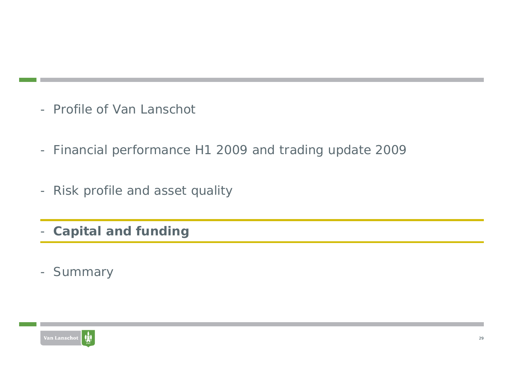- Profile of Van Lanschot
- Financial performance H1 2009 and trading update 2009
- Risk profile and asset quality
- **Capital and funding**
- Summary

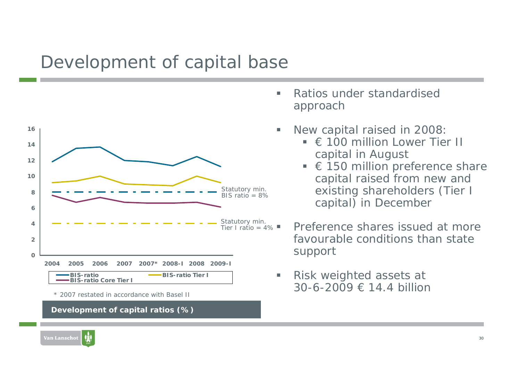### Development of capital base



\* 2007 restated in accordance with Basel II

**Development of capital ratios (%)**

- $\blacksquare$  Ratios under standardised approach
- L. New capital raised in 2008:
	- $\blacksquare \in 100$  million Lower Tier II capital in August
	- $\blacksquare$  $\epsilon$  150 million preference share capital raised from new and existing shareholders (Tier I capital) in December
	- Preference shares issued at more favourable conditions than state support
- ▉ Risk weighted assets at 30-6-2009 € 14.4 billion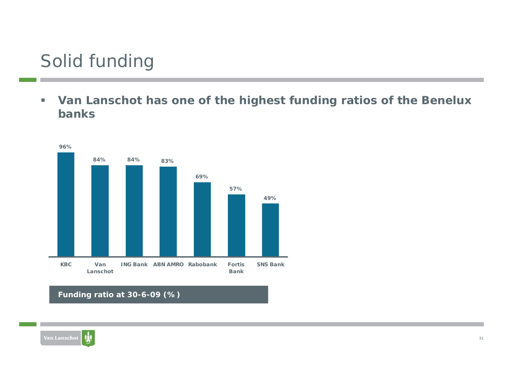## Solid funding

 $\blacksquare$  **Van Lanschot has one of the highest funding ratios of the Benelux banks**



**Funding ratio at 30-6-09 (%)**

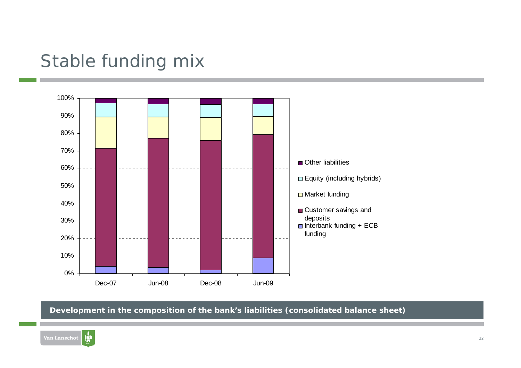### Stable funding mix



**Development in the composition of the bank's liabilities (consolidated balance sheet)**

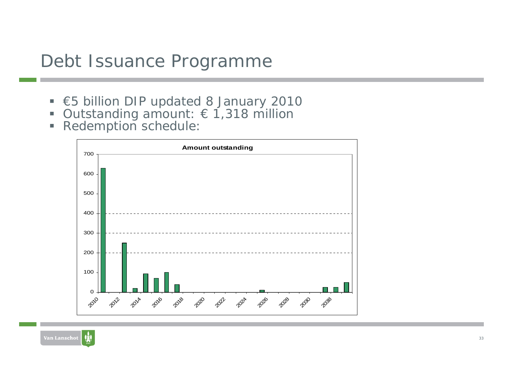#### Debt Issuance Programme

- €5 billion DIP updated 8 January 2010
- $\blacksquare$ Outstanding amount: € 1,318 million
- **Redemption schedule:**



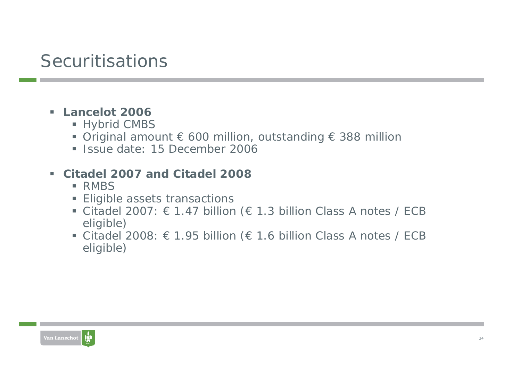## **Securitisations**

#### **Lancelot 2006**

- Hybrid CMBS
- Original amount € 600 million, outstanding € 388 million
- **Ionalie State: 15 December 2006**

#### **Citadel 2007 and Citadel 2008**

- **RMBS**
- **Eligible assets transactions**
- Citadel 2007:  $\epsilon$  1.47 billion ( $\epsilon$  1.3 billion Class A notes / ECB eligible)
- Citadel 2008:  $\epsilon$  1.95 billion ( $\epsilon$  1.6 billion Class A notes / ECB eligible)

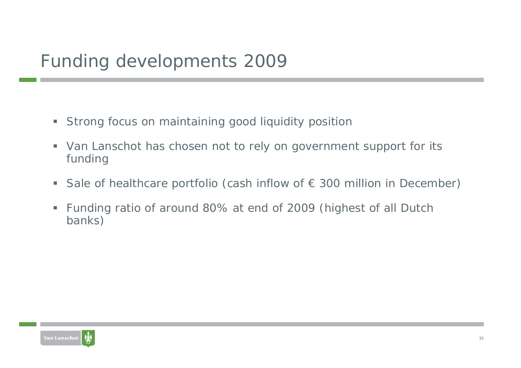- Strong focus on maintaining good liquidity position
- Van Lanschot has chosen not to rely on government support for its funding
- $\blacksquare$ Sale of healthcare portfolio (cash inflow of  $\epsilon$  300 million in December)
- Funding ratio of around 80% at end of 2009 (highest of all Dutch banks)

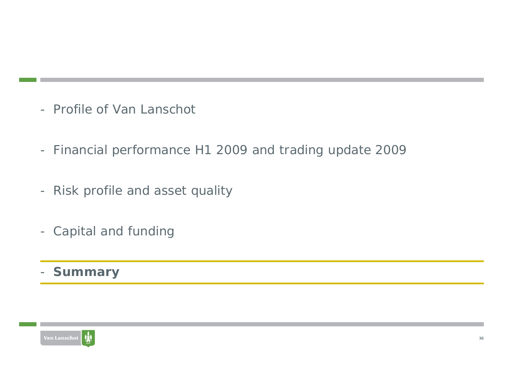- Profile of Van Lanschot
- Financial performance H1 2009 and trading update 2009
- Risk profile and asset quality
- Capital and funding
- **Summary**

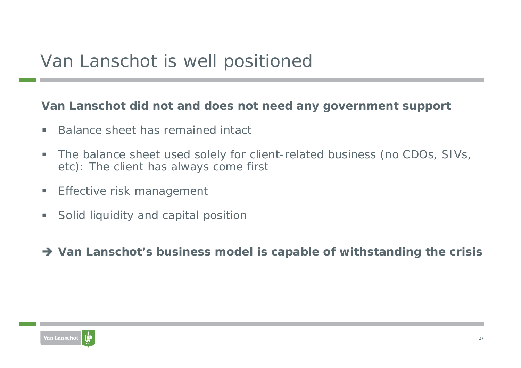#### **Van Lanschot did not and does not need any government support**

- $\blacksquare$ Balance sheet has remained intact
- ш The balance sheet used solely for client-related business (no CDOs, SIVs, etc): The client has always come first
- ш Effective risk management
- $\overline{\phantom{a}}$ Solid liquidity and capital position
- → Van Lanschot's business model is capable of withstanding the crisis

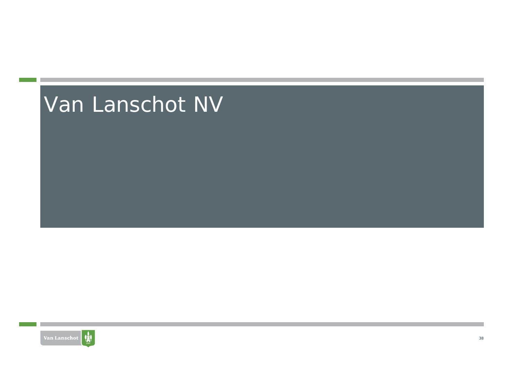